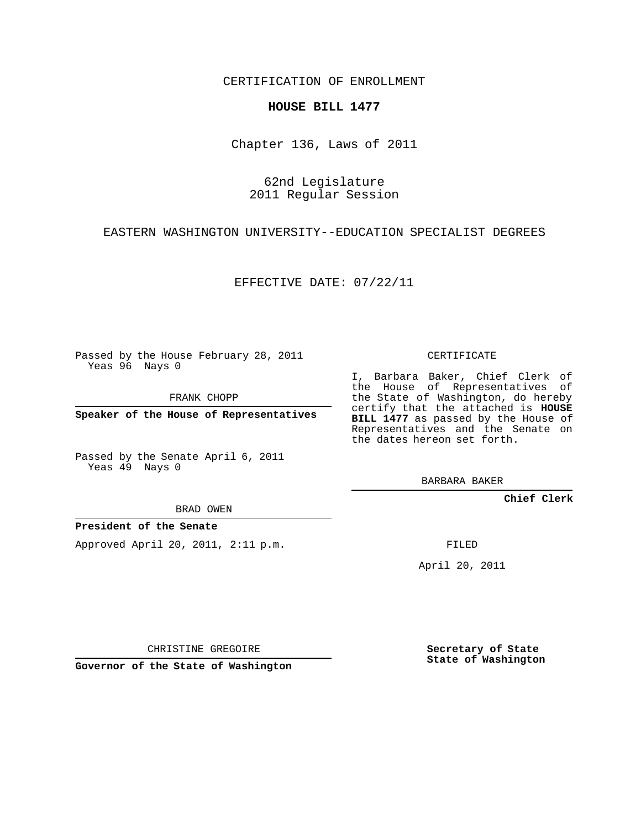CERTIFICATION OF ENROLLMENT

## **HOUSE BILL 1477**

Chapter 136, Laws of 2011

62nd Legislature 2011 Regular Session

EASTERN WASHINGTON UNIVERSITY--EDUCATION SPECIALIST DEGREES

EFFECTIVE DATE: 07/22/11

Passed by the House February 28, 2011 Yeas 96 Nays 0

FRANK CHOPP

**Speaker of the House of Representatives**

Passed by the Senate April 6, 2011 Yeas 49 Nays 0

BRAD OWEN

**President of the Senate**

Approved April 20, 2011, 2:11 p.m.

CERTIFICATE

I, Barbara Baker, Chief Clerk of the House of Representatives of the State of Washington, do hereby certify that the attached is **HOUSE BILL 1477** as passed by the House of Representatives and the Senate on the dates hereon set forth.

BARBARA BAKER

**Chief Clerk**

FILED

April 20, 2011

CHRISTINE GREGOIRE

**Governor of the State of Washington**

**Secretary of State State of Washington**